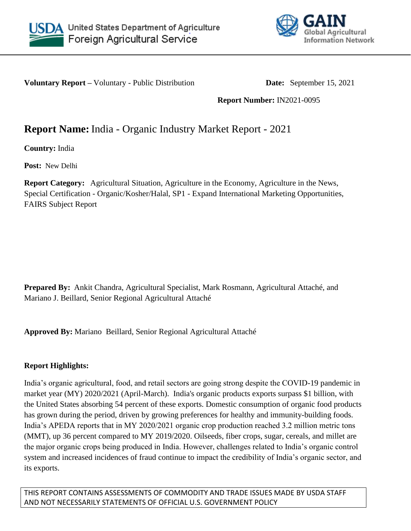



**Voluntary Report –** Voluntary - Public Distribution **Date:** September 15, 2021

**Report Number:** IN2021-0095

# **Report Name:** India - Organic Industry Market Report - 2021

**Country:** India

**Post:** New Delhi

**Report Category:** Agricultural Situation, Agriculture in the Economy, Agriculture in the News, Special Certification - Organic/Kosher/Halal, SP1 - Expand International Marketing Opportunities, FAIRS Subject Report

**Prepared By:** Ankit Chandra, Agricultural Specialist, Mark Rosmann, Agricultural Attaché, and Mariano J. Beillard, Senior Regional Agricultural Attaché

**Approved By:** Mariano Beillard, Senior Regional Agricultural Attaché

### **Report Highlights:**

India's organic agricultural, food, and retail sectors are going strong despite the COVID-19 pandemic in market year (MY) 2020/2021 (April-March). India's organic products exports surpass \$1 billion, with the United States absorbing 54 percent of these exports. Domestic consumption of organic food products has grown during the period, driven by growing preferences for healthy and immunity-building foods. India's APEDA reports that in MY 2020/2021 organic crop production reached 3.2 million metric tons (MMT), up 36 percent compared to MY 2019/2020. Oilseeds, fiber crops, sugar, cereals, and millet are the major organic crops being produced in India. However, challenges related to India's organic control system and increased incidences of fraud continue to impact the credibility of India's organic sector, and its exports.

THIS REPORT CONTAINS ASSESSMENTS OF COMMODITY AND TRADE ISSUES MADE BY USDA STAFF AND NOT NECESSARILY STATEMENTS OF OFFICIAL U.S. GOVERNMENT POLICY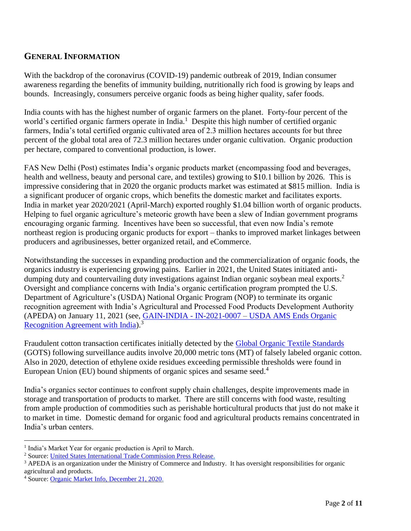# **GENERAL INFORMATION**

With the backdrop of the coronavirus (COVID-19) pandemic outbreak of 2019, Indian consumer awareness regarding the benefits of immunity building, nutritionally rich food is growing by leaps and bounds. Increasingly, consumers perceive organic foods as being higher quality, safer foods.

India counts with has the highest number of organic farmers on the planet. Forty-four percent of the world's certified organic farmers operate in India.<sup>1</sup> Despite this high number of certified organic farmers, India's total certified organic cultivated area of 2.3 million hectares accounts for but three percent of the global total area of 72.3 million hectares under organic cultivation. Organic production per hectare, compared to conventional production, is lower.

FAS New Delhi (Post) estimates India's organic products market (encompassing food and beverages, health and wellness, beauty and personal care, and textiles) growing to \$10.1 billion by 2026. This is impressive considering that in 2020 the organic products market was estimated at \$815 million. India is a significant producer of organic crops, which benefits the domestic market and facilitates exports. India in market year 2020/2021 (April-March) exported roughly \$1.04 billion worth of organic products. Helping to fuel organic agriculture's meteoric growth have been a slew of Indian government programs encouraging organic farming. Incentives have been so successful, that even now India's remote northeast region is producing organic products for export – thanks to improved market linkages between producers and agribusinesses, better organized retail, and eCommerce.

Notwithstanding the successes in expanding production and the commercialization of organic foods, the organics industry is experiencing growing pains. Earlier in 2021, the United States initiated antidumping duty and countervailing duty investigations against Indian organic soybean meal exports.<sup>2</sup> Oversight and compliance concerns with India's organic certification program prompted the U.S. Department of Agriculture's (USDA) National Organic Program (NOP) to terminate its organic recognition agreement with India's Agricultural and Processed Food Products Development Authority (APEDA) on January 11, 2021 (see, [GAIN-INDIA -](https://www.fas.usda.gov/data/india-usda-ams-ends-organic-recognition-agreement-india) IN-2021-0007 – USDA AMS Ends Organic Recognition Agreement with India).<sup>3</sup>

Fraudulent cotton transaction certificates initially detected by the [Global Organic Textile Standards](https://global-standard.org/about-us/organisation) (GOTS) following surveillance audits involve 20,000 metric tons (MT) of falsely labeled organic cotton. Also in 2020, detection of ethylene oxide residues exceeding permissible thresholds were found in European Union (EU) bound shipments of organic spices and sesame seed.<sup>4</sup>

India's organics sector continues to confront supply chain challenges, despite improvements made in storage and transportation of products to market. There are still concerns with food waste, resulting from ample production of commodities such as perishable horticultural products that just do not make it to market in time. Domestic demand for organic food and agricultural products remains concentrated in India's urban centers.

l

<sup>&</sup>lt;sup>1</sup> India's Market Year for organic production is April to March.

<sup>2</sup> Source: [United States International Trade Commission Press Release.](https://www.usitc.gov/press_room/news_release/2021/er0514ll1772.htm)

 $3$  APEDA is an organization under the Ministry of Commerce and Industry. It has oversight responsibilities for organic agricultural and products.

<sup>4</sup> Source: [Organic Market Info, December 21, 2020.](https://organic-market.info/news-in-brief-and-reports-article/pesticide-findings-in-organic-sesame-from-india.html)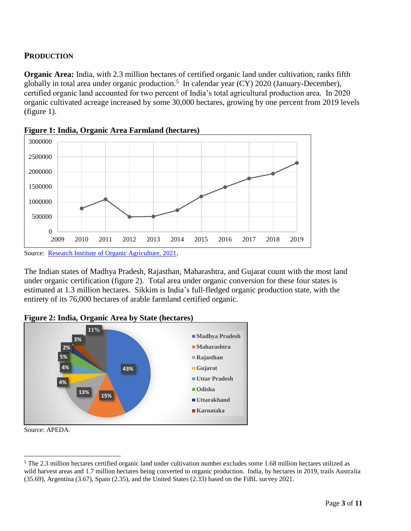### **PRODUCTION**

**Organic Area:** India, with 2.3 million hectares of certified organic land under cultivation, ranks fifth globally in total area under organic production.<sup>5</sup> In calendar year  $(CY)$  2020 (January-December), certified organic land accounted for two percent of India's total agricultural production area. In 2020 organic cultivated acreage increased by some 30,000 hectares, growing by one percent from 2019 levels (figure 1).



**Figure 1: India, Organic Area Farmland (hectares)**

The Indian states of Madhya Pradesh, Rajasthan, Maharashtra, and Gujarat count with the most land under organic certification (figure 2). Total area under organic conversion for these four states is estimated at 1.3 million hectares. Sikkim is India's full-fledged organic production state, with the entirety of its 76,000 hectares of arable farmland certified organic.





Source: APEDA.

 $\overline{\phantom{a}}$ <sup>5</sup> The 2.3 million hectares certified organic land under cultivation number excludes some 1.68 million hectares utilized as wild harvest areas and 1.7 million hectares being converted to organic production. India, by hectares in 2019, trails Australia (35.69), Argentina (3.67), Spain (2.35), and the United States (2.33) based on the FiBL survey 2021.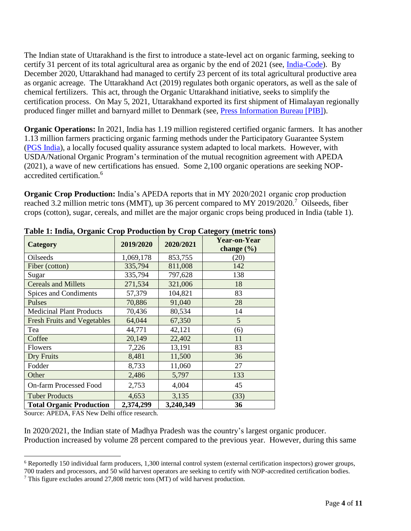The Indian state of Uttarakhand is the first to introduce a state-level act on organic farming, seeking to certify 31 percent of its total agricultural area as organic by the end of 2021 (see, [India-Code\)](https://www.indiacode.nic.in/bitstream/123456789/16804/1/organic_searchable_act_2019.pdf). By December 2020, Uttarakhand had managed to certify 23 percent of its total agricultural productive area as organic acreage. The Uttarakhand Act (2019) regulates both organic operators, as well as the sale of chemical fertilizers. This act, through the Organic Uttarakhand initiative, seeks to simplify the certification process. On May 5, 2021, Uttarakhand exported its first shipment of Himalayan regionally produced finger millet and barnyard millet to Denmark (see, [Press Information Bu](https://pib.gov.in/PressReleasePage.aspx?PRID=1716297)reau [PIB]).

**Organic Operations:** In 2021, India has 1.19 million registered certified organic farmers. It has another 1.13 million farmers practicing organic farming methods under the Participatory Guarantee System [\(PGS India\)](https://pgsindia-ncof.gov.in/pgs_india.aspx), a locally focused quality assurance system adapted to local markets. However, with USDA/National Organic Program's termination of the mutual recognition agreement with APEDA (2021), a wave of new certifications has ensued. Some 2,100 organic operations are seeking NOPaccredited certification.<sup>6</sup>

**Organic Crop Production:** India's APEDA reports that in MY 2020/2021 organic crop production reached 3.2 million metric tons (MMT), up 36 percent compared to MY 2019/2020.<sup>7</sup> Oilseeds, fiber crops (cotton), sugar, cereals, and millet are the major organic crops being produced in India (table 1).

| <b>Category</b>                    | 2019/2020 | 2020/2021 | Year-on-Year<br>change $(\% )$ |
|------------------------------------|-----------|-----------|--------------------------------|
| Oilseeds                           | 1,069,178 | 853,755   | (20)                           |
| Fiber (cotton)                     | 335,794   | 811,008   | 142                            |
| Sugar                              | 335,794   | 797,628   | 138                            |
| <b>Cereals and Millets</b>         | 271,534   | 321,006   | 18                             |
| Spices and Condiments              | 57,379    | 104,821   | 83                             |
| Pulses                             | 70,886    | 91,040    | 28                             |
| <b>Medicinal Plant Products</b>    | 70,436    | 80,534    | 14                             |
| <b>Fresh Fruits and Vegetables</b> | 64,044    | 67,350    | 5                              |
| Tea                                | 44,771    | 42,121    | (6)                            |
| Coffee                             | 20,149    | 22,402    | 11                             |
| Flowers                            | 7,226     | 13,191    | 83                             |
| Dry Fruits                         | 8,481     | 11,500    | 36                             |
| Fodder                             | 8,733     | 11,060    | 27                             |
| Other                              | 2,486     | 5,797     | 133                            |
| <b>On-farm Processed Food</b>      | 2,753     | 4,004     | 45                             |
| <b>Tuber Products</b>              | 4,653     | 3,135     | (33)                           |
| <b>Total Organic Production</b>    | 2,374,299 | 3,240,349 | 36                             |

**Table 1: India, Organic Crop Production by Crop Category (metric tons)**

Source: APEDA, FAS New Delhi office research.

In 2020/2021, the Indian state of Madhya Pradesh was the country's largest organic producer. Production increased by volume 28 percent compared to the previous year. However, during this same

 $\overline{\phantom{a}}$ <sup>6</sup> Reportedly 150 individual farm producers, 1,300 internal control system (external certification inspectors) grower groups, 700 traders and processors, and 50 wild harvest operators are seeking to certify with NOP-accredited certification bodies.

<sup>7</sup> This figure excludes around 27,808 metric tons (MT) of wild harvest production.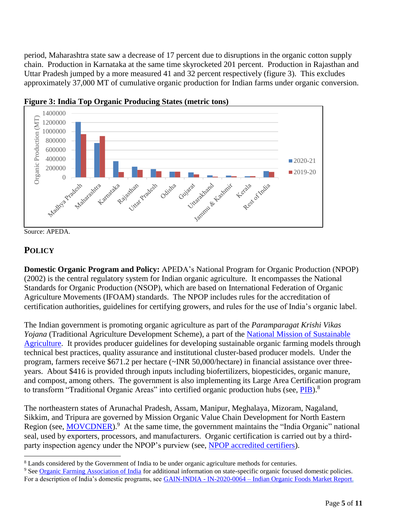period, Maharashtra state saw a decrease of 17 percent due to disruptions in the organic cotton supply chain. Production in Karnataka at the same time skyrocketed 201 percent. Production in Rajasthan and Uttar Pradesh jumped by a more measured 41 and 32 percent respectively (figure 3). This excludes approximately 37,000 MT of cumulative organic production for Indian farms under organic conversion.



**Figure 3: India Top Organic Producing States (metric tons)**

Source: APEDA.

# **POLICY**

 $\overline{\phantom{a}}$ 

**Domestic Organic Program and Policy:** APEDA's National Program for Organic Production (NPOP) (2002) is the central regulatory system for Indian organic agriculture. It encompasses the National Standards for Organic Production (NSOP), which are based on International Federation of Organic Agriculture Movements (IFOAM) standards. The NPOP includes rules for the accreditation of certification authorities, guidelines for certifying growers, and rules for the use of India's organic label.

The Indian government is promoting organic agriculture as part of the *Paramparagat Krishi Vikas Yojana* (Traditional Agriculture Development Scheme), a part of the [National Mission of Sustainable](https://nmsa.dac.gov.in/)  [Agriculture.](https://nmsa.dac.gov.in/) It provides producer guidelines for developing sustainable organic farming models through technical best practices, quality assurance and institutional cluster-based producer models. Under the program, farmers receive \$671.2 per hectare (~INR 50,000/hectare) in financial assistance over threeyears. About \$416 is provided through inputs including biofertilizers, biopesticides, organic manure, and compost, among others. The government is also implementing its Large Area Certification program to transform "Traditional Organic Areas" into certified organic production hubs (see, [PIB\)](https://pib.gov.in/PressReleasePage.aspx?PRID=1714281).<sup>8</sup>

The northeastern states of Arunachal Pradesh, Assam, Manipur, Meghalaya, Mizoram, Nagaland, Sikkim, and Tripura are governed by Mission Organic Value Chain Development for North Eastern Region (see, **MOVCDNER**).<sup>9</sup> At the same time, the government maintains the "India Organic" national seal, used by exporters, processors, and manufacturers. Organic certification is carried out by a thirdparty inspection agency under the NPOP's purview (see, [NPOP accredited certifiers\)](https://agricoop.nic.in/sites/default/files/List_of_certification_Bodies_0.pdf).

<sup>8</sup> Lands considered by the Government of India to be under organic agriculture methods for centuries.

<sup>9</sup> Se[e Organic Farming Association of India](https://www.ofai.org/resources/organic-farming-policies) for additional information on state-specific organic focused domestic policies. For a description of India's domestic programs, see [GAIN-INDIA -](https://apps.fas.usda.gov/newgainapi/api/Report/DownloadReportByFileName?fileName=Indian%20Organic%20Foods%20Market%20Report_New%20Delhi_India_06-08-2020) IN-2020-0064 – Indian Organic Foods Market Report.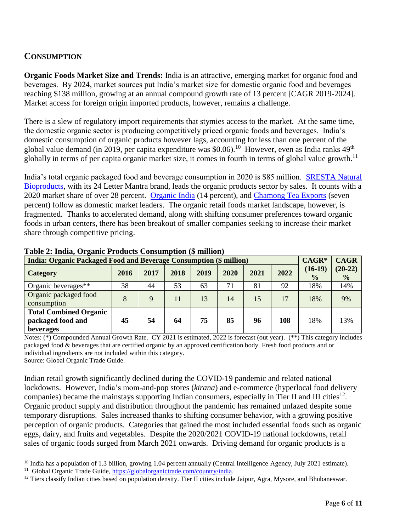# **CONSUMPTION**

**Organic Foods Market Size and Trends:** India is an attractive, emerging market for organic food and beverages. By 2024, market sources put India's market size for domestic organic food and beverages reaching \$138 million, growing at an annual compound growth rate of 13 percent [CAGR 2019-2024]. Market access for foreign origin imported products, however, remains a challenge.

There is a slew of regulatory import requirements that stymies access to the market. At the same time, the domestic organic sector is producing competitively priced organic foods and beverages. India's domestic consumption of organic products however lags, accounting for less than one percent of the global value demand (in 2019, per capita expenditure was \$0.06).<sup>10</sup> However, even as India ranks  $49<sup>th</sup>$ globally in terms of per capita organic market size, it comes in fourth in terms of global value growth.<sup>11</sup>

India's total organic packaged food and beverage consumption in 2020 is \$85 million. [SRESTA Natural](https://sresta.24mantra.com/)  [Bioproducts,](https://sresta.24mantra.com/) with its 24 Letter Mantra brand, leads the organic products sector by sales. It counts with a 2020 market share of over 28 percent. [Organic India](https://www.organicindia.com/) (14 percent), and [Chamong Tea Exports](http://chamong.com/) (seven percent) follow as domestic market leaders. The organic retail foods market landscape, however, is fragmented. Thanks to accelerated demand, along with shifting consumer preferences toward organic foods in urban centers, there has been breakout of smaller companies seeking to increase their market share through competitive pricing.

| <b>India: Organic Packaged Food and Beverage Consumption (\$ million)</b> |      |      |      |      |      |      | $CAGR*$ | <b>CAGR</b>                |                            |
|---------------------------------------------------------------------------|------|------|------|------|------|------|---------|----------------------------|----------------------------|
| <b>Category</b>                                                           | 2016 | 2017 | 2018 | 2019 | 2020 | 2021 | 2022    | $(16-19)$<br>$\frac{0}{0}$ | $(20-22)$<br>$\frac{6}{6}$ |
| Organic beverages**                                                       | 38   | 44   | 53   | 63   | 71   | 81   | 92      | 18%                        | 14%                        |
| Organic packaged food<br>consumption                                      | 8    | 9    | 11   | 13   | 14   | 15   | 17      | 18%                        | 9%                         |
| <b>Total Combined Organic</b><br>packaged food and<br>beverages           | 45   | 54   | 64   | 75   | 85   | 96   | 108     | 18%                        | 13%                        |

**Table 2: India, Organic Products Consumption (\$ million)**

Notes: (\*) Compounded Annual Growth Rate. CY 2021 is estimated, 2022 is forecast (out year). (\*\*) This category includes packaged food & beverages that are certified organic by an approved certification body. Fresh food products and or individual ingredients are not included within this category.

Source: Global Organic Trade Guide.

Indian retail growth significantly declined during the COVID-19 pandemic and related national lockdowns. However, India's mom-and-pop stores (*kirana*) and e-commerce (hyperlocal food delivery companies) became the mainstays supporting Indian consumers, especially in Tier II and III cities<sup>12</sup>. Organic product supply and distribution throughout the pandemic has remained unfazed despite some temporary disruptions. Sales increased thanks to shifting consumer behavior, with a growing positive perception of organic products. Categories that gained the most included essential foods such as organic eggs, dairy, and fruits and vegetables. Despite the 2020/2021 COVID-19 national lockdowns, retail sales of organic foods surged from March 2021 onwards. Driving demand for organic products is a

 $\overline{\phantom{a}}$  $10$  India has a population of 1.3 billion, growing 1.04 percent annually (Central Intelligence Agency, July 2021 estimate). <sup>11</sup> Global Organic Trade Guide, [https://globalorganictrade.com/country/india.](https://globalorganictrade.com/country/india)

<sup>&</sup>lt;sup>12</sup> Tiers classify Indian cities based on population density. Tier II cities include Jaipur, Agra, Mysore, and Bhubaneswar.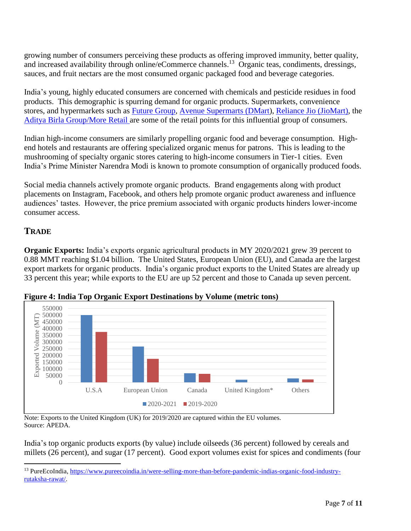growing number of consumers perceiving these products as offering improved immunity, better quality, and increased availability through online/eCommerce channels.<sup>13</sup> Organic teas, condiments, dressings, sauces, and fruit nectars are the most consumed organic packaged food and beverage categories.

India's young, highly educated consumers are concerned with chemicals and pesticide residues in food products. This demographic is spurring demand for organic products. Supermarkets, convenience stores, and hypermarkets such as [Future Group,](https://www.futuregroup.in/) [Avenue Supermarts \(DMart\)](https://www.dmartindia.com/), [Reliance Jio \(JioMart\),](https://www.jiomart.com/) the [Aditya Birla Group/More Retail a](https://www.moreretail.in/)re some of the retail points for this influential group of consumers.

Indian high-income consumers are similarly propelling organic food and beverage consumption. Highend hotels and restaurants are offering specialized organic menus for patrons. This is leading to the mushrooming of specialty organic stores catering to high-income consumers in Tier-1 cities. Even India's Prime Minister Narendra Modi is known to promote consumption of organically produced foods.

Social media channels actively promote organic products. Brand engagements along with product placements on Instagram, Facebook, and others help promote organic product awareness and influence audiences' tastes. However, the price premium associated with organic products hinders lower-income consumer access.

### **TRADE**

 $\overline{a}$ 

**Organic Exports:** India's exports organic agricultural products in MY 2020/2021 grew 39 percent to 0.88 MMT reaching \$1.04 billion. The United States, European Union (EU), and Canada are the largest export markets for organic products. India's organic product exports to the United States are already up 33 percent this year; while exports to the EU are up 52 percent and those to Canada up seven percent.



**Figure 4: India Top Organic Export Destinations by Volume (metric tons)**

Note: Exports to the United Kingdom (UK) for 2019/2020 are captured within the EU volumes. Source: APEDA.

India's top organic products exports (by value) include oilseeds (36 percent) followed by cereals and millets (26 percent), and sugar (17 percent). Good export volumes exist for spices and condiments (four

<sup>13</sup> [PureEcoIndia, https://www.pureecoindia.in/were-selling-more-than-before-pandemic-indias-organic-food-industry](https://www.pureecoindia.in/were-selling-more-than-before-pandemic-indias-organic-food-industry-rutaksha-rawat/)[rutaksha-rawat/.](https://www.pureecoindia.in/were-selling-more-than-before-pandemic-indias-organic-food-industry-rutaksha-rawat/)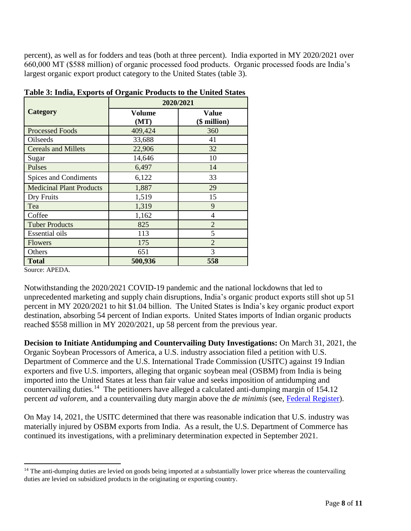percent), as well as for fodders and teas (both at three percent). India exported in MY 2020/2021 over 660,000 MT (\$588 million) of organic processed food products. Organic processed foods are India's largest organic export product category to the United States (table 3).

|                                 | 2020/2021      |                       |  |  |  |  |
|---------------------------------|----------------|-----------------------|--|--|--|--|
| Category                        | Volume<br>(MT) | Value<br>(\$ million) |  |  |  |  |
| <b>Processed Foods</b>          | 409,424        | 360                   |  |  |  |  |
| Oilseeds                        | 33,688         | 41                    |  |  |  |  |
| <b>Cereals and Millets</b>      | 22,906         | 32                    |  |  |  |  |
| Sugar                           | 14,646         | 10                    |  |  |  |  |
| Pulses                          | 6,497          | 14                    |  |  |  |  |
| Spices and Condiments           | 6,122          | 33                    |  |  |  |  |
| <b>Medicinal Plant Products</b> | 1,887          | 29                    |  |  |  |  |
| Dry Fruits                      | 1,519          | 15                    |  |  |  |  |
| Tea                             | 1,319          | 9                     |  |  |  |  |
| Coffee                          | 1,162          | $\overline{4}$        |  |  |  |  |
| <b>Tuber Products</b>           | 825            | $\overline{2}$        |  |  |  |  |
| <b>Essential oils</b>           | 113            | 5                     |  |  |  |  |
| <b>Flowers</b>                  | 175            | $\overline{2}$        |  |  |  |  |
| Others                          | 651            | 3                     |  |  |  |  |
| <b>Total</b>                    | 500,936        | 558                   |  |  |  |  |

**Table 3: India, Exports of Organic Products to the United States**

Source: APEDA.

 $\overline{a}$ 

Notwithstanding the 2020/2021 COVID-19 pandemic and the national lockdowns that led to unprecedented marketing and supply chain disruptions, India's organic product exports still shot up 51 percent in MY 2020/2021 to hit \$1.04 billion. The United States is India's key organic product export destination, absorbing 54 percent of Indian exports. United States imports of Indian organic products reached \$558 million in MY 2020/2021, up 58 percent from the previous year.

**Decision to Initiate Antidumping and Countervailing Duty Investigations:** On March 31, 2021, the Organic Soybean Processors of America, a U.S. industry association filed a petition with U.S. Department of Commerce and the U.S. International Trade Commission (USITC) against 19 Indian exporters and five U.S. importers, alleging that organic soybean meal (OSBM) from India is being imported into the United States at less than fair value and seeks imposition of antidumping and countervailing duties.<sup>14</sup> The petitioners have alleged a calculated anti-dumping margin of 154.12 percent *ad valorem*, and a countervailing duty margin above the *de minimis* (see, [Federal Register\)](https://www.federalregister.gov/documents/2021/04/27/2021-08710/organic-soybean-meal-from-india-initiation-of-less-than-fair-value-investigation).

On May 14, 2021, the USITC determined that there was reasonable indication that U.S. industry was materially injured by OSBM exports from India. As a result, the U.S. Department of Commerce has continued its investigations, with a preliminary determination expected in September 2021.

<sup>&</sup>lt;sup>14</sup> The anti-dumping duties are levied on goods being imported at a substantially lower price whereas the countervailing duties are levied on subsidized products in the originating or exporting country.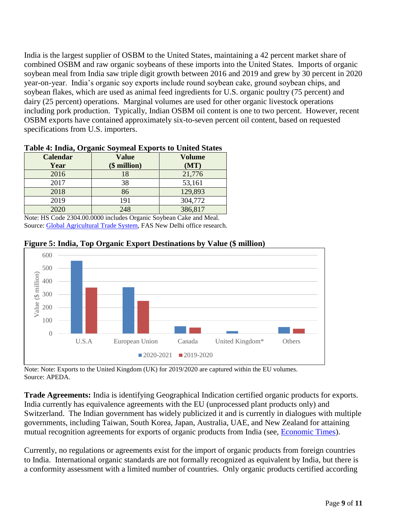India is the largest supplier of OSBM to the United States, maintaining a 42 percent market share of combined OSBM and raw organic soybeans of these imports into the United States. Imports of organic soybean meal from India saw triple digit growth between 2016 and 2019 and grew by 30 percent in 2020 year-on-year. India's organic soy exports include round soybean cake, ground soybean chips, and soybean flakes, which are used as animal feed ingredients for U.S. organic poultry (75 percent) and dairy (25 percent) operations. Marginal volumes are used for other organic livestock operations including pork production. Typically, Indian OSBM oil content is one to two percent. However, recent OSBM exports have contained approximately six-to-seven percent oil content, based on requested specifications from U.S. importers.

| <b>Calendar</b> | <b>Value</b> | <b>Volume</b> |
|-----------------|--------------|---------------|
| Year            | $$$ million) | (MT)          |
| 2016            |              | 21,776        |
| 2017            | 38           | 53,161        |
| 2018            | 86           | 129,893       |
| 2019            | 191          | 304,772       |
| 2020            | 248          | 386,817       |

#### **Table 4: India, Organic Soymeal Exports to United States**

Note: HS Code 2304.00.0000 includes Organic Soybean Cake and Meal. Source: [Global Agricultural Trade System,](https://apps.fas.usda.gov/gats/default.aspx) FAS New Delhi office research.



**Figure 5: India, Top Organic Export Destinations by Value (\$ million)**

Note: Note: Exports to the United Kingdom (UK) for 2019/2020 are captured within the EU volumes. Source: APEDA.

**Trade Agreements:** India is identifying Geographical Indication certified organic products for exports. India currently has equivalence agreements with the EU (unprocessed plant products only) and Switzerland. The Indian government has widely publicized it and is currently in dialogues with multiple governments, including Taiwan, South Korea, Japan, Australia, UAE, and New Zealand for attaining mutual recognition agreements for exports of organic products from India (see, [Economic Times\)](https://economictimes.indiatimes.com/news/economy/foreign-trade/india-in-talks-with-aus-nz-japan-to-ink-pact-to-mutually-recognise-organic-products-conformity-norms/articleshow/82277049.cms?from=mdr).

Currently, no regulations or agreements exist for the import of organic products from foreign countries to India. International organic standards are not formally recognized as equivalent by India, but there is a conformity assessment with a limited number of countries. Only organic products certified according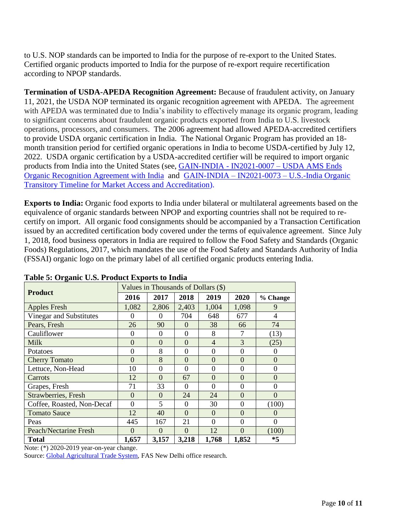to U.S. NOP standards can be imported to India for the purpose of re-export to the United States. Certified organic products imported to India for the purpose of re-export require recertification according to NPOP standards.

**Termination of USDA-APEDA Recognition Agreement:** Because of fraudulent activity, on January 11, 2021, the USDA NOP terminated its organic recognition agreement with APEDA. The agreement with APEDA was terminated due to India's inability to effectively manage its organic program, leading to significant concerns about fraudulent organic products exported from India to U.S. livestock operations, processors, and consumers. The 2006 agreement had allowed APEDA-accredited certifiers to provide USDA organic certification in India. The National Organic Program has provided an 18 month transition period for certified organic operations in India to become USDA-certified by July 12, 2022. USDA organic certification by a USDA-accredited certifier will be required to import organic products from India into the United States (see, [GAIN-INDIA -](https://www.fas.usda.gov/data/india-usda-ams-ends-organic-recognition-agreement-india) IN2021-0007 – USDA AMS Ends Organic Recognition Agreement with India and GAIN-INDIA – IN2021-0073 – [U.S.-India Organic](https://apps.fas.usda.gov/newgainapi/api/Report/DownloadReportByFileName?fileName=US-India%20Organic%20Transitory%20Timeline%20for%20Market%20Access%20and%20Accreditation_New%20Delhi_India_06-08-2021)  [Transitory Timeline for Market Access and Accreditation\)](https://apps.fas.usda.gov/newgainapi/api/Report/DownloadReportByFileName?fileName=US-India%20Organic%20Transitory%20Timeline%20for%20Market%20Access%20and%20Accreditation_New%20Delhi_India_06-08-2021).

**Exports to India:** Organic food exports to India under bilateral or multilateral agreements based on the equivalence of organic standards between NPOP and exporting countries shall not be required to recertify on import. All organic food consignments should be accompanied by a Transaction Certification issued by an accredited certification body covered under the terms of equivalence agreement. Since July 1, 2018, food business operators in India are required to follow the Food Safety and Standards (Organic Foods) Regulations, 2017, which mandates the use of the Food Safety and Standards Authority of India (FSSAI) organic logo on the primary label of all certified organic products entering India.

|                            | Table of Organic Cibi I Founce Exports to India<br>Values in Thousands of Dollars (\$) |                |                |                |                |                |  |
|----------------------------|----------------------------------------------------------------------------------------|----------------|----------------|----------------|----------------|----------------|--|
| <b>Product</b>             | 2016                                                                                   | 2017           | 2018           | 2019           | 2020           | % Change       |  |
| <b>Apples Fresh</b>        | 1,082                                                                                  | 2,806          | 2,403          | 1,004          | 1,098          | 9              |  |
| Vinegar and Substitutes    | $\Omega$                                                                               | $\Omega$       | 704            | 648            | 677            | 4              |  |
| Pears, Fresh               | 26                                                                                     | 90             | $\Omega$       | 38             | 66             | 74             |  |
| Cauliflower                | $\Omega$                                                                               | $\Omega$       | $\Omega$       | 8              | 7              | (13)           |  |
| <b>Milk</b>                | $\Omega$                                                                               | $\Omega$       | $\theta$       | $\overline{4}$ | 3              | (25)           |  |
| Potatoes                   | $\theta$                                                                               | 8              | $\theta$       | $\theta$       | $\theta$       | 0              |  |
| <b>Cherry Tomato</b>       | $\Omega$                                                                               | 8              | $\overline{0}$ | $\overline{0}$ | $\overline{0}$ | $\overline{0}$ |  |
| Lettuce, Non-Head          | 10                                                                                     | $\theta$       | $\theta$       | $\overline{0}$ | $\theta$       | $\theta$       |  |
| Carrots                    | 12                                                                                     | $\overline{0}$ | 67             | $\overline{0}$ | $\overline{0}$ | $\Omega$       |  |
| Grapes, Fresh              | 71                                                                                     | 33             | $\theta$       | $\overline{0}$ | $\overline{0}$ | $\theta$       |  |
| Strawberries, Fresh        | $\Omega$                                                                               | $\Omega$       | 24             | 24             | $\overline{0}$ | $\Omega$       |  |
| Coffee, Roasted, Non-Decaf | $\Omega$                                                                               | 5              | $\Omega$       | 30             | $\overline{0}$ | (100)          |  |
| <b>Tomato Sauce</b>        | 12                                                                                     | 40             | $\Omega$       | $\overline{0}$ | $\overline{0}$ | $\Omega$       |  |
| Peas                       | 445                                                                                    | 167            | 21             | $\overline{0}$ | $\overline{0}$ | $\theta$       |  |
| Peach/Nectarine Fresh      | $\Omega$                                                                               | $\Omega$       | $\overline{0}$ | 12             | $\overline{0}$ | (100)          |  |
| Total                      | 1,657                                                                                  | 3,157          | 3,218          | 1,768          | 1,852          | $*5$           |  |

| Table 5: Organic U.S. Product Exports to India |  |  |  |
|------------------------------------------------|--|--|--|
|                                                |  |  |  |

Note: (\*) 2020-2019 year-on-year change.

Source: [Global Agricultural Trade System,](https://apps.fas.usda.gov/gats/default.aspx) FAS New Delhi office research.